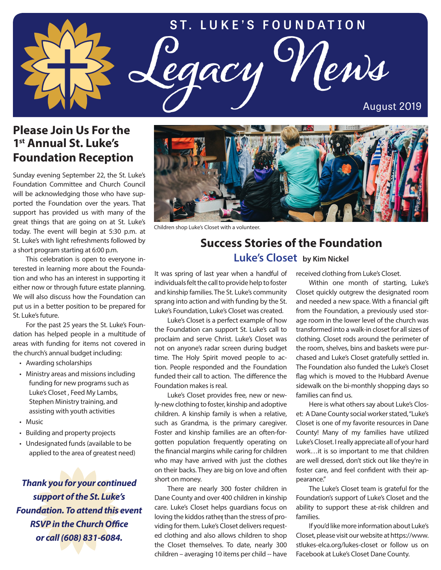

## **Please Join Us For the 1st Annual St. Luke's Foundation Reception**

Sunday evening September 22, the St. Luke's Foundation Committee and Church Council will be acknowledging those who have supported the Foundation over the years. That support has provided us with many of the great things that are going on at St. Luke's today. The event will begin at 5:30 p.m. at St. Luke's with light refreshments followed by a short program starting at 6:00 p.m.

This celebration is open to everyone interested in learning more about the Foundation and who has an interest in supporting it either now or through future estate planning. We will also discuss how the Foundation can put us in a better position to be prepared for St. Luke's future.

For the past 25 years the St. Luke's Foundation has helped people in a multitude of areas with funding for items not covered in the church's annual budget including:

- Awarding scholarships
- Ministry areas and missions including funding for new programs such as Luke's Closet , Feed My Lambs, Stephen Ministry training, and assisting with youth activities
- Music
- Building and property projects
- Undesignated funds (available to be applied to the area of greatest need)

*Thank you for your continued support of the St. Luke's Foundation. To attend this event RSVP in the Church Office or call (608) 831-6084.*



Children shop Luke's Closet with a volunteer.

## **Success Stories of the Foundation Luke's Closet by Kim Nickel**

It was spring of last year when a handful of individuals felt the call to provide help to foster and kinship families. The St. Luke's community sprang into action and with funding by the St. Luke's Foundation, Luke's Closet was created.

Luke's Closet is a perfect example of how the Foundation can support St. Luke's call to proclaim and serve Christ. Luke's Closet was not on anyone's radar screen during budget time. The Holy Spirit moved people to action. People responded and the Foundation funded their call to action. The difference the Foundation makes is real.

Luke's Closet provides free, new or newly-new clothing to foster, kinship and adoptive children. A kinship family is when a relative, such as Grandma, is the primary caregiver. Foster and kinship families are an often-forgotten population frequently operating on the financial margins while caring for children who may have arrived with just the clothes on their backs. They are big on love and often short on money.

There are nearly 300 foster children in Dane County and over 400 children in kinship care. Luke's Closet helps guardians focus on loving the kiddos rather than the stress of providing for them. Luke's Closet delivers requested clothing and also allows children to shop the Closet themselves. To date, nearly 300 children – averaging 10 items per child -- have received clothing from Luke's Closet.

Within one month of starting, Luke's Closet quickly outgrew the designated room and needed a new space. With a financial gift from the Foundation, a previously used storage room in the lower level of the church was transformed into a walk-in closet for all sizes of clothing. Closet rods around the perimeter of the room, shelves, bins and baskets were purchased and Luke's Closet gratefully settled in. The Foundation also funded the Luke's Closet flag which is moved to the Hubbard Avenue sidewalk on the bi-monthly shopping days so families can find us.

Here is what others say about Luke's Closet: A Dane County social worker stated, "Luke's Closet is one of my favorite resources in Dane County! Many of my families have utilized Luke's Closet. I really appreciate all of your hard work…it is so important to me that children are well dressed, don't stick out like they're in foster care, and feel confident with their appearance."

The Luke's Closet team is grateful for the Foundation's support of Luke's Closet and the ability to support these at-risk children and families.

If you'd like more information about Luke's Closet, please visit our website at https://www. stlukes-elca.org/lukes-closet or follow us on Facebook at Luke's Closet Dane County.